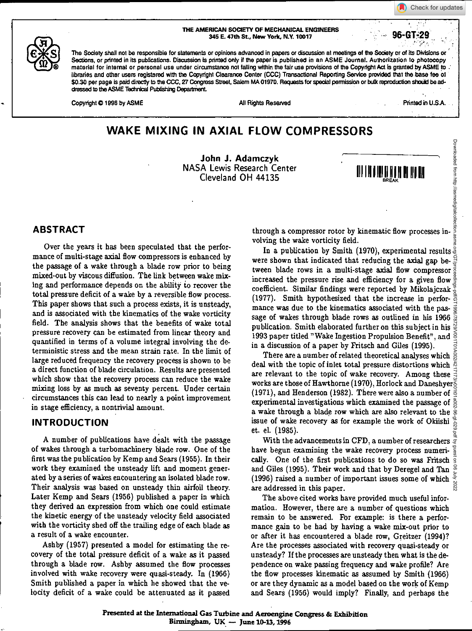#### **THE AMERICAN SOCIETY OF MECHANICAL ENGINEERS 345 E. 47th St, New York N.Y. 10017 — 96-629**

**'**  The Society shall not be responsible for statements or opinions advanced in papers or discussion at meetings of the Society or of its Divisions or Sections, or printed in its publications. Discussion is printed only if the paper is published in an ASME Journal. Authorization to photocopy material for internal or personal use under circumstance not falling within the fair use provisions of the Copyright Act is granted by ASME to libraries and other users registered with the Copyright Clearance Center (CCC) Transactional Reporting Service provided that the base fee of \$0.30 per page is paid directly to the CCC, 27 Congress Street, Salem MA 01970. Requests for special permission or bulk reproduction should be addressed to the ASME Technical Publishing Department

Copyright © 1996 by ASME AO Rights Reserved All Rights Reserved Printed in U.S.A.

# **WAKE MIXING IN AXIAL FLOW COMPRESSORS**

**John J. Adamczyk**  NASA Lewis Research Center A Lewis Research Center<br>Cleveland OH 44135 III 111 || III || III || III || III || III

Check for updates

### **ABSTRACT**

Over the years it has been speculated that the performance of multi-stage axial flow compressors is enhanced by the passage of a wake through a blade row prior to being mixed-out by viscous diffusion. The link between wake mixing and performance depends on the ability io recover the total pressure deficit of a wake by a reversible flow process. This paper shows that such a process exists, it is unsteady, and is associated with the kinematics of the wake vorticity field. The analysis shows that the benefits of wake total pressure recovery can be estimated from linear theory and quantified in terms of a volume integral involving the deterministic stress and the mean strain rate. In the limit of large reduced frequency the recovery process is shown to be a direct function of blade circulation. Results are presented which show that the recovery process can reduce the wake mixing loss by as much as seventy percent. Under certain circumstances this can lead to nearly a point improvement in stage efficiency, a nontrivial amount.

## **INTRODUCTION**

A number of publications have dealt with the passage of wakes through a turbomachinery blade row. One of the first was the publication by Kemp and Sears (1955). In their work they examined the unsteady lift and moment generated by a series of wakes encountering an isolated blade row. Their analysis was based on unsteady thin airfoil theory. Later Kemp and Sears (1956) published a paper in which they derived an expression from which one could estimate the kinetic energy of the unsteady velocity field associated with the vorticity shed off the trailing edge of each blade as a result of a wake encounter.

Ashby (1957) presented a model for estimating the recovery of the total pressure deficit of a wake as it passed through a blade row. Ashby assumed the flow processes involved with wake recovery were quasi-steady. In (1966) Smith published a paper in which he showed that the velocity deficit of a wake could be attenuated as it passed through a compressor rotor by kinematic flow processes involving the wake vorticity field.

In a publication by Smith (1970), experimental results  $\frac{5}{5}$ were shown that indicated that reducing the axial gap between blade rows in a multi-stage axial flow compressor  $\frac{3}{8}$ increased the pressure rise and efficiency for a given flow  $\frac{8}{3}$ coefficient. Similar findings were reported by Mikolajczak  $\frac{w}{C}$ (1977). Smith hypothesized that the increase in performance was due to the kinematics associated with the passage of wakes through blade rows as outlined in his 1966 publication. Smith elaborated further on this subject in his  $\hat{\xi}$ 1993 paper titled "Wake Ingestion Propulsion Benefit", and  $\tilde{\epsilon}$ in a discussion of a paper by Fritsch and Giles (1995).

There are a number of related theoretical analyses which  $\frac{3}{5}$ deal with the topic of inlet total pressure distortions which  $\frac{3}{2}$ are relevant to the topic of wake recovery. Among these  $\frac{3}{6}$ works are those of Hawthorne (1970), Horlock and Daneshyer $\tilde{\S}$ (1971), and Henderson (1982). There were also a number of  $\frac{1}{5}$ experimental investigations which examined the passage of  $\frac{8}{5}$ a wake through a blade row which are also relevant to the issue of wake recovery as for example the work of Okiishi et. el. (1985).

With the advancements in CFD, a number of researchers  $\frac{8}{5}$ have begun examining the wake recovery process numerically. One of the first publications to do so was Fritsch  $\frac{3}{5}$ and Giles (1995). Their work and that by Deregel and Tan  $\frac{5}{6}$ (1996) raised a number of important issues some of which  $\frac{1}{2}$ are addressed in this paper.

The above cited works have provided much useful information. However, there are a number of questions which remain to be answered. For example: is there a performance gain to be had by having a wake mix-out prior to or after it has encountered a blade row, Greitzer (1994)? Are the processes associated with recovery quasi-steady or unsteady? If the processes are unsteady then what is the dependence on wake passing frequency and wake profile? Are the flow processes kinematic as assumed by Smith (1966) or are they dynamic as a model based on the work of Kemp and Sears (1956) would imply? Finally, and perhaps the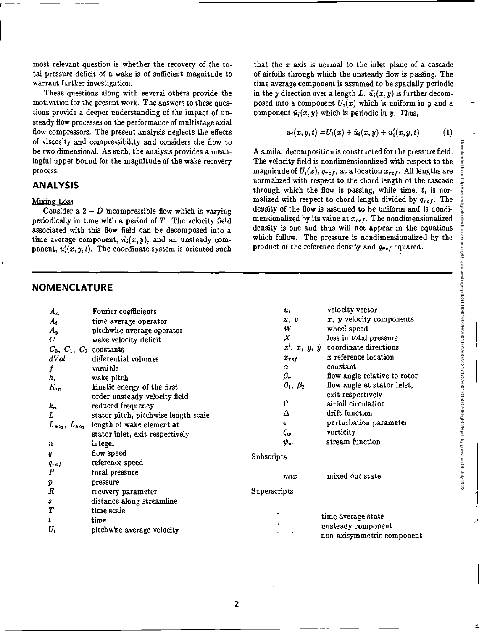most relevant question is whether the recovery of the total pressure deficit of a wake is of sufficient magnitude to warrant further investigation.

These questions along with several others provide the motivation for the present work. The answers to these questions provide a deeper understanding of the impact of unsteady flow processes on the performance of multistage axial flow compressors. The present analysis neglects the effects of viscosity and compressibility and considers the flow to be two dimensional. As such, the analysis provides a meaningful upper bound for the magnitude of the wake recovery process.

#### **ANALYSIS**

#### Mixing Loss

Consider a  $2 - D$  incompressible flow which is varying periodically in time with a period of *T.* The velocity field associated with this flow field can be decomposed into a time average component,  $\tilde{u}_i(x, y)$ , and an unsteady component,  $u'_i(x, y, t)$ . The coordinate system is oriented such

**NOMENCLATURE** 

that the  $x$  axis is normal to the inlet plane of a cascade of airfoils through which the unsteady flow is passing. The time average component is assumed to be spatially periodic in the y direction over a length L.  $\tilde{u}_i(x,y)$  is further decomposed into a component  $U_i(x)$  which is uniform in *y* and a component  $\hat{u}_i(x, y)$  which is periodic in y. Thus,

$$
u_i(x, y, t) = U_i(x) + \hat{u}_i(x, y) + u'_i(x, y, t)
$$
 (1)

Downloaded from http://asmedigitalcollection.asme.org/GT/proceedings-pdf/GT1996/78729/V001T01A002/4217173/v001t01a002-96-gt-029.pdf by guest on 06 July 2022

collection.asme.org/GT/proceedings-pdf/GT1996/78729/V011701A02/4217173/v001101a002-96-gt-029.pdf by guest on 06 July 2022

A similar decomposition is constructed for the pressure field. The velocity field is nondimensionalized with respect to the magnitude of  $U_i(x)$ ,  $q_{ref}$ , at a location  $x_{ref}$ . All lengths are normalized with respect to the chord length of the cascade through which the flow is passing, while time, *t,* is normalized with respect to chord length divided by  $q_{ref}$ . The density of the flow is assumed to be uniform and is nondimensionalized by its value at  $x_{ref}$ . The nondimensionalized density is one and thus will not appear in the equations which follow. The pressure is nondimensionalized by the product of the reference density and  $q_{ref}$  squared.

| $A_n$                           | Fourier coefficients                 | $u_{i}$                           | velocity vector                                       |
|---------------------------------|--------------------------------------|-----------------------------------|-------------------------------------------------------|
| $A_t$                           | time average operator                | $\boldsymbol{u},\ \boldsymbol{v}$ | $x, y$ velocity components                            |
| $A_{y}$                         | pitchwise average operator           | W                                 | wheel speed                                           |
| $\boldsymbol{C}$                | wake velocity deficit                | Х                                 | loss in total pressure                                |
| $C_0$ , $C_1$ , $C_2$ constants |                                      |                                   | $x^i$ , $x$ , $y$ , $\tilde{y}$ coordinate directions |
| dVol                            | differential volumes                 | $x_{ref}$                         | $x$ reference location                                |
|                                 | varaible                             | $\alpha$                          | constant                                              |
| $h_r$                           | wake pitch                           | $\beta_r$                         | flow angle relative to rotor                          |
| $K_{1n}$                        | kinetic energy of the first          | $\beta_1, \beta_2$                | flow angle at stator inlet,                           |
|                                 | order unsteady velocity field        |                                   | exit respectively                                     |
| $k_n$                           | reduced frequency                    | r                                 | airfoil circulation                                   |
| $\boldsymbol{L}$                | stator pitch, pitchwise length scale | Δ                                 | drift function                                        |
| $L_{en_1}, L_{en_2}$            | length of wake element at            | $\epsilon$                        | perturbation parameter                                |
|                                 | stator inlet, exit respectively      | ζω                                | vorticity                                             |
| $\boldsymbol{n}$                | integer                              | $\psi_w$                          | stream function                                       |
| q                               | flow speed                           |                                   |                                                       |
|                                 | reference speed                      | Subscripts                        |                                                       |
| $q_{ref}$<br>$\boldsymbol{P}$   | total pressure                       |                                   |                                                       |
|                                 |                                      | mix                               | mixed out state                                       |
| $\pmb{p}$<br>$\boldsymbol{R}$   | pressure                             | Superscripts                      |                                                       |
|                                 | recovery parameter                   |                                   |                                                       |
| s                               | distance along streamline            |                                   |                                                       |
| $\boldsymbol{T}$                | time scale                           |                                   | time average state                                    |
| t                               | time                                 | ,                                 | unsteady component                                    |
| $U_i$                           | pitchwise average velocity           |                                   | non axisymmetric component                            |
|                                 |                                      |                                   |                                                       |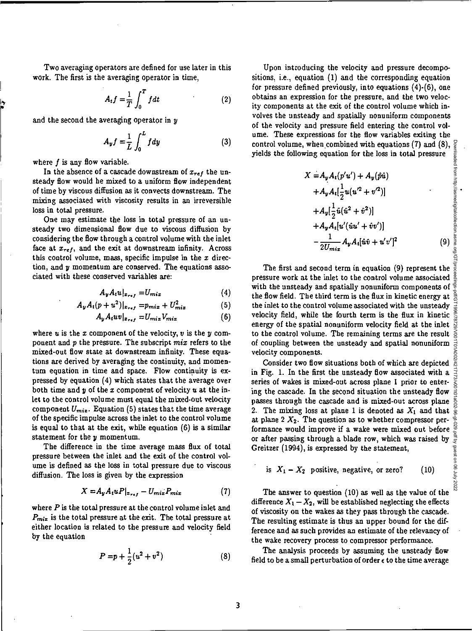Two averaging operators are defined for use later in this work. The first is the averaging operator in time,<br> $\frac{1}{2} \int_{0}^{T} f(x) dx$ 

$$
A_t f = \frac{1}{T} \int_0^T f dt
$$
 (2)

and the second the averaging operator in  $y$ 

$$
A_y f = \frac{1}{L} \int_0^L f dy
$$
 (3)

where *f is* any flow variable.

In the absence of a cascade downstream of  $x_{ref}$  the unsteady flow would he mixed to a uniform flow independent of time by viscous diffusion as it convects downstream. The mixing associated with viscosity results in an irreversible loss in total pressure.

One may estimate the loss in total pressure of an unsteady two dimensional flow due to viscous diffusion *by*  considering the flow through a control volume with the inlet face at  $x_{ref}$ , and the exit at downstream infinity. Across this control volume, mass, specific impulse in the *x* direction, and *y* momentum are conserved. The equations associated with these conserved variables are:

$$
A_{y}A_{t}u|_{x_{ref}} = U_{mix} \tag{4}
$$

$$
A_y A_t (p + u^2)|_{x_{ref}} = p_{mix} + U_{mix}^2 \tag{5}
$$

$$
A_y A_t u v|_{x_{ref}} = U_{mix} V_{mix} \tag{6}
$$

where  $u$  is the  $x$  component of the velocity,  $v$  is the  $y$  component and p the pressure. The subscript *mix* refers to the mixed-out flow state at downstream infinity. These equations are derived by averaging the continuity, and momentum equation in time and space. Flow continuity is expressed by equation (4) which states that the average over both time and  $y$  of the x component of velocity  $u$  at the inlet to the control volume must equal the mixed-out velocity component  $U_{mix}$ . Equation (5) states that the time average of the specific impulse across the inlet to the control volume is equal to that at the exit, while equation (6) is a similar statement for the y momentum.

The difference in the time average *mass* flux of total pressure between the inlet and the *exit* of the control volume is defined as the loss in total pressure due to viscous diffusion. The loss is given by the expression

$$
X = A_y A_t u P|_{x_{ref}} - U_{mix} P_{mix}
$$
 (7)

where *P* is the total pressure at the control volume inlet and  $P_{mix}$  is the total pressure at the exit. The total pressure at either location is related to the pressure and velocity field by the equation

$$
P = p + \frac{1}{2}(u^2 + v^2)
$$
 (8)

Upon introducing the velocity and pressure decompositions, i.e., equation (1) and the corresponding equation for pressure defined previously, into equations (4)-(6), one obtains an expression for the pressure, and the two velocity components at the exit of the control volume which involves the unsteady and spatially nonuniform components of the velocity and pressure field entering the control volume. These expressions for the flow variables exiting the control volume, when combined with equations (7) and (8), yields the following equation for the loss in total pressure

$$
X = A_y A_t (p'u') + A_y (\hat{p}\hat{u})
$$
  
+  $A_y A_t [\frac{1}{2} u(u'^2 + v'^2)]$   
+  $A_y [\frac{1}{2} \tilde{u} (\hat{u}^2 + \hat{v}^2)]$   
+  $A_y A_t [u' (\hat{u}u' + \hat{v}v')]$   
-  $\frac{1}{2U_{mix}} A_y A_t [\hat{u}\hat{v} + u'v']^2$  (9)

The first and second term in equation (9) represent the pressure work at the inlet to the control volume associated with the unsteady and spatially nonuniform components of the flow field. The third term is the flux in kinetic energy at the inlet to the control volume associated with the unsteady velocity field, while the fourth term is the flux in kinetic energy of the spatial nonuniform velocity field at the inlet to the control volume. The remaining terms are the result of coupling between the unsteady and spatial nonuniform velocity components.

Consider two flow situations both of which are depicted in Fig. 1. In the first the unsteady flow associated with a series of wakes is mixed-out across plane 1 prior to entering the cascade. In the second situation the unsteady flow passes through the cascade and is mixed-out across plane 2. The mixing loss at plane 1 is denoted as  $X_1$  and that at plane  $2 X_2$ . The question as to whether compressor performance would improve if a wake were mixed out before or after passing through a blade row, which was raised by Greitzer (1994), is expressed by the statement,

is  $X_1 - X_2$  positive, negative, or zero? (10)

The answer to question (10) as well as the value of the difference  $X_1 - X_2$ , will be established neglecting the effects of viscosity on the wakes as they pass through the cascade. The resulting estimate is thus an upper bound for the difference and as such provides an estimate of the relevancy of the wake recovery process to compressor performance.

The analysis proceeds by assuming the unsteady flow field to be a small perturbation of order  $\epsilon$  to the time average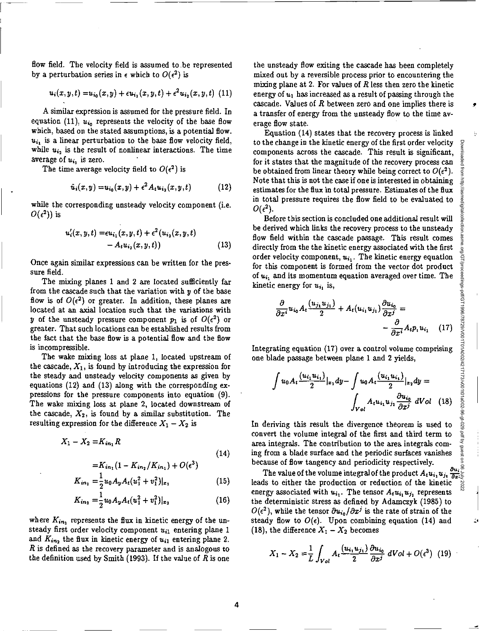flow field. The velocity field is assumed to be represented by a perturbation series in  $\epsilon$  which to  $O(\epsilon^2)$  is

$$
u_i(x, y, t) = u_{i_0}(x, y) + \epsilon u_{i_1}(x, y, t) + \epsilon^2 u_{i_2}(x, y, t)
$$
 (11)

A similar expression is assumed for the pressure field. In equation (11),  $u_{i_0}$  represents the velocity of the base flow which, based on the stated assumptions, is a potential flow.  $u_i$ , is a linear perturbation to the base flow velocity field, while  $u_{i_2}$  is the result of nonlinear interactions. The time average of  $u_i$ , is zero.

The time average velocity field to  $O(\epsilon^2)$  is

$$
\tilde{u}_i(x,y) = u_{i_0}(x,y) + \epsilon^2 A_i u_{i_2}(x,y,t) \tag{12}
$$

while the corresponding unsteady velocity component (i.e.  $O(\epsilon^2)$ ) is

$$
u'_{i}(x, y, t) = \epsilon u_{i_{1}}(x, y, t) + \epsilon^{2} (u_{i_{2}}(x, y, t) - A_{t}u_{i_{2}}(x, y, t))
$$
\n(13)

Once again similar expressions can be written for the pressure field.

The mixing planes 1 and 2 are located sufficiently far from the cascade such that the variation with *y* of the base flow is of  $O(\epsilon^2)$  or greater. In addition, these planes are located at an axial location such that the variations with y of the unsteady pressure component  $p_1$  is of  $O(\epsilon^2)$  or greater. That such locations can be established results from the fact that the base flow is a potential flow and the flow is incompressible.

The wake mixing loss at plane 1, located upstream of the cascade,  $X_1$ , is found by introducing the expression for the steady and unsteady velocity components as given by equations (12) and (13) along with the corresponding expressions for the pressure components into equation (9). The wake mixing loss at plane 2, located downstream of the cascade,  $X_2$ , is found by a similar substitution. The resulting expression for the difference  $X_1 - X_2$  is

$$
X_1 - X_2 = K_{in_1} R \tag{14}
$$

$$
=K_{in_1}(1-K_{in_2}/K_{in_1})+O(\epsilon^3)
$$

$$
K_{in_1} = \frac{1}{2} u_0 A_y A_t (u_1^2 + v_1^2)|_{x_1}
$$
 (15)

$$
K_{in_2} = \frac{1}{2} u_0 A_y A_t (u_1^2 + v_1^2)|_{x_2}
$$
 (16)

where  $K_{in_1}$  represents the flux in kinetic energy of the unsteady first order velocity component  $u_{i1}$  entering plane 1 and  $K_{in_2}$  the flux in kinetic energy of  $u_{i1}$  entering plane 2. *R* is defined as the recovery parameter and is analogous to the definition used by Smith (1993). If the value of *R* is one

the unsteady flow exiting the cascade has been completely mixed out by a reversible process prior to encountering the mixing plane at 2. For values of *R* less then zero the kinetic energy of  $u_1$  has increased as a result of passing through the cascade. Values of *R* between zero and one implies there is a transfer of energy from the unsteady flow to the time average flow state.

Equation (14) states that the recovery process is linked to the change in the kinetic energy of the first order velocity components across the cascade. This result is significant, for it states that the magnitude of the recovery process can be obtained from linear theory while being correct to  $O(\epsilon^2)$ . Note that this is not the case if one is interested in obtaining estimates for the flux in total pressure. Estimates of the flux in total pressure requires the flow field to be evaluated to  $O(\epsilon^2)$ .

Before this section is concluded one additional result will be derived which links the recovery process to the unsteady flow field within the cascade passage. This result comes directly from the the kinetic energy associated with the first order velocity component,  $u_{i_1}$ . The kinetic energy equation for this component is formed from the vector dot product of  $u_{i_1}$  and its momentum equation averaged over time. The kinetic energy for  $u_{i_1}$  is,

$$
\frac{\partial}{\partial x^i} u_{i_0} A_t \frac{(u_{j_1} u_{j_1})}{2} + A_t (u_{i_1} u_{j_1}) \frac{\partial u_{i_0}}{\partial x^j} = -\frac{\partial}{\partial x^i} A_t p_i u_{i_1} \quad (17)
$$

Integrating equation (17) over a control volume comprising one blade passage between plane 1 and 2 yields,

$$
\int u_0 A_t \frac{(u_{i_1} u_{i_1})}{2} |_{x_1} dy - \int u_0 A_t \frac{(u_{i_1} u_{i_1})}{2} |_{x_2} dy =
$$

$$
\int_{Vol} A_t u_{i_1} u_{j_1} \frac{\partial u_{i_0}}{\partial x^j} dVol \quad (18)
$$

In deriving this result the divergence theorem is used to convert the volume integral of the first and third term to area integrals. The contribution to the area integrals coming from a blade surface and the periodic surfaces vanishes because of flow tangency and periodicity respectively.

The value of the volume integral of the product  $A_t u_{i_1} u_{j_1} \frac{\partial u_{j_2}}{\partial x_{i_2}}$ <br>  $\frac{\partial u_{j_1}}{\partial x_{j_2}}$ leads to either the production or reduction of the kinetic energy associated with  $u_{i_1}$ . The tensor  $A_t u_{i_1} u_{j_1}$  represents the deterministic stress as defined by Adamczyk (1985) to  $O(\epsilon^2)$ , while the tensor  $\partial u_{i_0}/\partial x^j$  is the rate of strain of the steady flow to  $O(\epsilon)$ . Upon combining equation (14) and (18), the difference  $X_1 - X_2$  becomes

$$
X_1 - X_2 = \frac{1}{L} \int_{Vol} A_t \frac{(u_{i_1} u_{j_1})}{2} \frac{\partial u_{i_0}}{\partial x^j} dVol + O(\epsilon^3)
$$
 (19)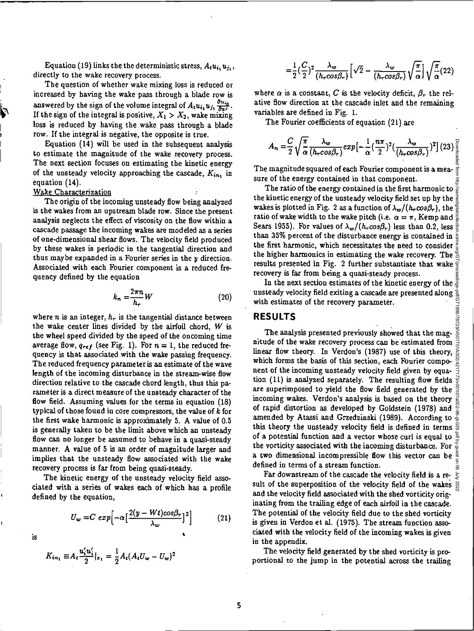Equation (19) links the the deterministic stress,  $A_t u_{i_1} u_{j_1}$ , directly to the wake recovery process.

The question of whether wake mixing loss is reduced or increased by having the wake pass through a blade row is answered by the sign of the volume integral of  $A_t u_{i_1} u_{j_1} \frac{\partial u_{i_0}}{\partial z^j}$ . If the sign of the integral is positive,  $X_1 > X_2$ , wake mixing loss is reduced by having the wake pass through a blade row. If the integral is negative, the opposite is true.

Equation (14) will be used in the subsequent analysis to estimate the magnitude of the wake recovery process. The next section focuses on estimating the kinetic energy of the unsteady velocity approaching the cascade,  $K_{in_1}$  in equation (14).

#### Wake Characterization

The origin of the incoming unsteady flow being analyzed is the wakes from an upstream blade row. Since the present analysis neglects the effect of viscosity on the flow within a cascade passage the incoming wakes are modeled as a series of one-dimensional shear flows. The velocity field produced by these wakes is periodic in the tangential direction and thus maybe expanded in a Fourier series in the y direction. Associated with each Fourier component is a reduced frequency defined by the equation

$$
k_n = \frac{2\pi n}{h_r} W \tag{20}
$$

where  $n$  is an integer,  $h_r$  is the tangential distance between the wake center lines divided by the airfoil chord,  $W$  is the wheel speed divided by the speed of the oncoming time average flow,  $q_{ref}$  (see Fig. 1). For  $n = 1$ , the reduced frequency is that associated with the wake passing frequency. The reduced frequency parameter is an estimate of the wave length of the incoming disturbance in the stream-wise flow direction relative to the cascade chord length, thus this parameter is a direct measure of the unsteady character of the flow field. Assuming values for the terms in equation (18) typical of those found in core compressors, the value of *k* for the first wake harmonic is approximately 5. A value of 0.5 is generally taken to be the limit above which an unsteady flow can no longer be assumed to behave in a quasi-steady manner. A value of 5 is an order of magnitude larger and implies that the unsteady flow associated with the wake recovery process is far from being quasi-steady.

The kinetic energy of the unsteady velocity field associated with a series of wakes each of which has a profile defined by the equation,

 $U_w = C \ exp\left[-\alpha \left[\frac{2(y-Wt)\cos\beta_r}{\lambda_w}\right]^2\right]$  (21)

$$
K_{in_1} \equiv A_t \frac{u'_i u'_i}{2} |_{x_1} = \frac{1}{2} A_t (A_t U_w - U_w)^2
$$

is

$$
=\frac{1}{2}\left(\frac{C}{2}\right)^2\frac{\lambda_w}{(h_r\cos\beta_r)}\left[\sqrt{2}-\frac{\lambda_w}{(h_r\cos\beta_r)}\sqrt{\frac{\pi}{\alpha}}\right]\sqrt{\frac{\pi}{\alpha}}(22)
$$

where  $\alpha$  is a constant, C is the velocity deficit,  $\beta_r$  the relative flow direction at the cascade inlet and the remaining variables are defined in Fig. 1.

The Fourier coefficients of equation (21) are

$$
A_n = \frac{C}{2} \sqrt{\frac{\pi}{\alpha}} \frac{\lambda_w}{(h_r \cos \beta_r)} exp\left[-\frac{1}{\alpha} (\frac{n\pi}{2})^2 (\frac{\lambda_w}{(h_r \cos \beta_r)})^2 \right] (23)
$$

The magnitude squared of each Fourier component is a measure of the energy contained in that component.

The ratio of the energy contained in the first harmonic to the kinetic energy of the unsteady velocity field set up by the wakes is plotted in Fig. 2 as a function of  $\lambda_w/(h_r \cos \beta_r)$ , the ratio of wake width to the wake pitch (i.e.  $\alpha = \pi$ , Kemp and Sears 1955). For values of  $\lambda_w/(h_r \cos\beta_r)$  less than 0.2, less than 35% percent of the disturbance energy is contained in the first harmonic, which necessitates the need to consider the higher harmonics in estimating the wake recovery. The results presented in Fig. 2 further substantiate that wake recovery is far from being a quasi-steady process. Downloaded from http://asmedigitalcollection.asme.org/GT/proceedings-pdf/GT1996/78729/V001T01A002/4217173/v001t01a002-96-gt-029.pdf by guest on 06 July 2022

In the next section estimates of the kinetic energy of the unsteady velocity field exiting a cascade are presented along with estimates of the recovery parameter.

#### **RESULTS**

The analysis presented previously showed that the magnitude of the wake recovery process can be estimated from linear flow theory. In Verdon's (1987) use of this theory, which forms the basis of this section, each Fourier component of the incoming unsteady velocity field given by equation (11) is analyzed separately. The resulting flow fields are superimposed to yield the flow field generated by the incoming wakes. Verdon's analysis is based on the theory of rapid distortion as developed by Goldstein (1978) and amended by Atassi and Grzedzinski (1989). According to this theory the unsteady velocity field is defined in terms of a potential function and a vector whose curl is equal to the vorticity associated with the incoming disturbance. For a two dimensional incompressible flow this vector can be defined in terms of a stream function.

Far downstream of the cascade the velocity field is a result of the superposition of the velocity field of the wakes and the velocity field associated with the shed vorticity originating from the trailing edge of each airfoil in the cascade. The potential of the velocity field due to the shed vorticity is given in Verdon et al. (1975). The stream function associated with the velocity field of the incoming wakes is given in the appendix.

The velocity field generated by the shed vorticity is proportional to the jump in the potential across the trailing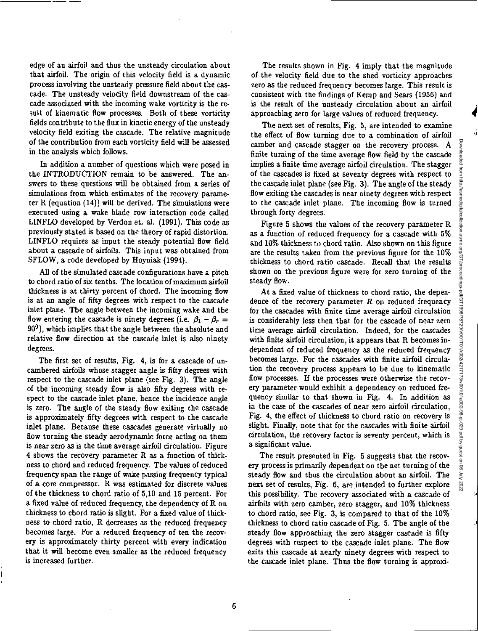edge of an airfoil and thus the unsteady circulation about that airfoil. The origin of this velocity field is a dynamic process involving the unsteady pressure field about the cascade. The unsteady velocity field downstream of the cascade associated with the incoming wake vorticity is the result of kinematic flow processes. Both of these vorticity fields contribute to the flux in kinetic energy of the unsteady velocity field exiting the cascade. The relative magnitude of the contribution from each vorticity field will be assessed in the analysis which follows.

In addition a number of questions which were posed in the INTRODUCTION remain to be answered. The answers to these questions will be obtained from a series of simulations from which estimates of the recovery parameter R (equation (14)) will be derived. The simulations were executed using a wake blade row interaction code called LINFLO developed by Verdon et. al. (1991). This code as previously stated is based on the theory of rapid distortion. LINFLO requires as input the steady potential flow field about a cascade of airfoils. This input was obtained from SFLOW, a code developed by Hoyniak (1994).

All of the simulated cascade configurations have a pitch to chord ratio of six tenths. The location of maximum airfoil thickness is at thirty percent of chord. The incoming flow is at an angle of fifty degrees with respect to the cascade inlet plane. The angle between the incoming wake and the flow entering the cascade is ninety degrees (i.e.  $\beta_1 - \beta_r =$ 900 ), which implies that the angle between the absolute and relative flow direction at the cascade inlet is also ninety degrees.

The first set of results, Fig. 4, is for a cascade of uncambered airfoils whose stagger angle is fifty degrees with respect to the cascade inlet plane (see Fig. 3). The angle of the incoming steady flow is also fifty degrees with respect to the cascade inlet plane, *hence* the incidence angle is zero. The angle of the steady flow exiting the cascade *is* approximately fifty degrees with respect to the cascade inlet plane. Because these cascades generate virtually no flow turning the steady aerodynamic force acting on them is near zero as is the time average airfoil circulation. Figure 4 shows the recovery parameter R as a function of thickness to chord and reduced frequency. The values of reduced frequency span the range of wake passing frequency typical of a core compressor. R was estimated for discrete values of the thickness to chord ratio of 5,10 and 15 percent. For a fixed value of reduced frequency, the dependency of R on thickness to chord ratio is slight. For a fixed value of thickness to chord ratio, R decreases as the reduced frequency becomes large. For a reduced frequency of ten the recovery is approximately thirty percent with every indication that it will become even smaller as the reduced frequency is increased further.

The results shown in Fig. 4 imply that the magnitude of the velocity field due to the shed vorticity approaches zero as the reduced frequency becomes large. This result is consistent with the findings of Kemp and Sears (1956) and is the result of the unsteady circulation about an airfoil approaching zero for large values of reduced frequency.

The next set of results, Fig. 5, are intended to examine the effect of flow turning due to a combination of airfoil camber and cascade stagger on the recovery process. A finite turning of the time average flow field by the cascade implies a finite time average airfoil circulation. The stagger of the cascades is fixed at seventy degrees with respect to the cascade inlet plane (see Fig. 3). The angle of the steady flow exiting the cascades is near ninety degrees with respect to the cascade inlet plane. The incoming flow is turned through forty degrees.

Figure 5 shows the values of the recovery parameter  $R$ as a function of reduced frequency for a cascade with 5% and 10% thickness to chord ratio. Also shown on this figure are the results taken from the previous figure for the 10% thickness to chord ratio cascade. Recall that the results shown on the previous figure were for zero turning of the steady flow.

At a fixed value of thickness to chord ratio, the dependence of the recovery parameter *R* on reduced frequency for the cascades with finite time average airfoil circulation is considerably less then that for the cascade of near zero time average airfoil circulation. Indeed, for the cascades with finite airfoil circulation, it appears that R becomes independent of reduced frequency as the reduced frequency becomes large. For the cascades with finite airfoil circulation the recovery process appears to be due to kinematic flow processes. If the processes were otherwise the recovery parameter would exhibit a dependency on reduced frequency similar to that shown in Fig. 4. In addition as in the case of the cascades of near zero airfoil circulation, Fig. 4, the effect of thickness to chord ratio on recovery is slight. Finally, note that for the cascades with finite airfoil circulation, the recovery factor is seventy percent, which is a significant value.

The result presented in Fig. 5 suggests that the recovery process is primarily dependent on the net turning of the steady flow and thus the circulation about an airfoil. The next set of results, Fig. 6, are intended to further explore this possibility. The recovery associated with a cascade of airfoils with zero camber, zero stagger, and 10% thickness to chord ratio, see Fig. 3, is compared to that of the 10% thickness to chord ratio cascade of Fig. 5. The angle of the steady flow approaching the zero stagger cascade is fifty degrees with respect to the cascade inlet plane. The flow exits this cascade at nearly ninety degrees with respect to the cascade inlet plane. Thus the flow turning is approxi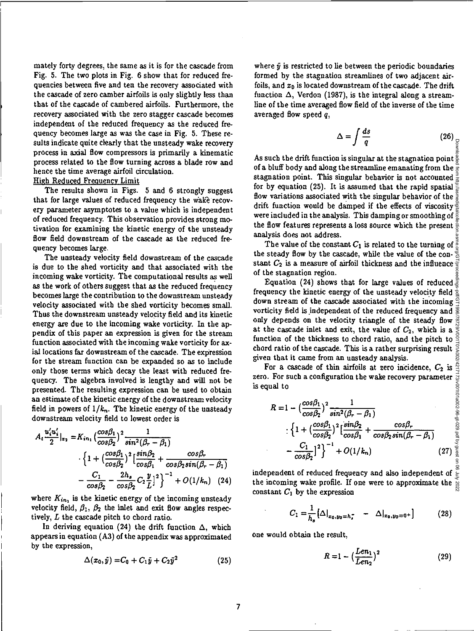mately forty degrees, the same as it is for the cascade from Fig. 5. The two plots in Fig. 6 show that for reduced frequencies between five and ten the recovery associated with the cascade of zero camber airfoils is only slightly less than that of the cascade of cambered airfoils. Furthermore, the recovery associated with the zero stagger cascade becomes independent of the reduced frequency as the reduced frequency becomes large as was the case in Fig. 5. These results indicate quite clearly that the unsteady wake recovery process in axial flow compressors is primarily a kinematic process related to the flow turning across a blade row and hence the time average airfoil circulation.

#### High Reduced Frequency Limit

The results shown in Figs. 5 and 6 strongly suggest that for large values of reduced frequency the wake recovery parameter asymptotes to a value which is independent of reduced frequency. This observation provides strong motivation for examining the kinetic energy of the unsteady flow field downstream of the cascade as the reduced frequency becomes large.

The unsteady velocity field downstream of the cascade is due to the shed vorticity and that associated with the incoming wake vorticity. The computational results as well as the work of others suggest that as the reduced frequency becomes large the contribution to the downstream unsteady velocity associated with the shed vorticity becomes small. Thus the downstream unsteady velocity field and its kinetic energy are due to the incoming wake vorticity. In the appendix of this paper an expression is given for the stream function associated with the incoming wake vorticity for axial locations far downstream of the cascade. The expression for the stream function can be expanded so as to include only those terms which decay the least with reduced frequency. The algebra involved is lengthy and will not be presented. The resulting expression can be used to obtain an estimate of the kinetic energy of the downstream velocity field in powers of  $1/k_n$ . The kinetic energy of the unsteady downstream velocity field to lowest order is

$$
A_{t} \frac{u'_{i} u'_{i}}{2} |_{z_{2}} = K_{in_{1}} \left(\frac{\cos \beta_{1}}{\cos \beta_{2}}\right)^{2} \frac{1}{\sin^{2}(\beta_{r} - \beta_{1})}
$$

$$
\cdot \left\{1 + \left(\frac{\cos \beta_{1}}{\cos \beta_{2}}\right)^{2} \left[\frac{\sin \beta_{2}}{\cos \beta_{1}} + \frac{\cos \beta_{r}}{\cos \beta_{2} \sin(\beta_{r} - \beta_{1})}\right] - \frac{C_{1}}{\cos \beta_{2}} - \frac{2h_{s}}{\cos \beta_{2}} C_{2} \frac{y}{L} \right\}^{2}\right\}^{-1} + O(1/k_{n}) \quad (24)
$$

where  $K_{i n_1}$  is the kinetic energy of the incoming unsteady velocity field,  $\beta_1$ ,  $\beta_2$  the inlet and exit flow angles respectively, *L* the cascade pitch to chord ratio.

In deriving equation (24) the drift function  $\Delta$ , which appears in equation (A3) of the appendix was approximated by the expression,

$$
\Delta(x_0, \tilde{y}) = C_0 + C_1 \tilde{y} + C_2 \tilde{y}^2 \tag{25}
$$

where  $\tilde{y}$  is restricted to lie between the periodic boundaries formed by the stagnation streamlines of two adjacent airfoils, and  $x_0$  is located downstream of the cascade. The drift function  $\Delta$ , Verdon (1987), is the integral along a streamline of the time averaged flow field of the inverse of the time averaged flow speed *q,* 

$$
\Delta = \int \frac{ds}{q} \tag{26}
$$

As such the drift function is singular at the stagnation point  $\frac{8}{9}$ of a bluff body and along the streamline emanating from the stagnation point. This singular behavior is not accounted for by equation (25). It is assumed that the rapid spatial flow variations associated with the singular behavior of the drift function would be damped if the effects of viscosity were included in the analysis. This damping or smoothing of the flow features represents a loss source which the present analysis does not address. Downloaded from http://asmedigitalcollection.asme.org/GT/proceedings-pdf/GT1996/78729/V001T01A002/4217173/v001t01a002-96-gt-029.pdf by guest on 06 July 2022

The value of the constant  $C_1$  is related to the turning of the steady flow by the cascade, while the value of the constant  $C_2$  is a measure of airfoil thickness and the influence of the stagnation region.

Equation (24) shows that for large values of reduced frequency the kinetic energy of the unsteady velocity field down stream of the cascade associated with the incoming vorticity field is independent of the reduced frequency and only depends on the velocity triangle of the steady flow at the cascade inlet and exit, the value of  $C_2$ , which is a function of the thickness to chord ratio, and the pitch to chord ratio of the cascade. This is a rather surprising result given that it came from an unsteady analysis.

zero. For such a configuration the wake recovery parameter is equal to

For a cascade of thin airfoils at zero incidence, 
$$
C_2
$$
 is  
\n
$$
C_2
$$
 is equal to  
\n
$$
R = 1 - \left(\frac{\cos \beta_1}{\cos \beta_2}\right)^2 \frac{1}{\sin^2(\beta_r - \beta_1)}
$$
\n
$$
= \left\{1 + \left(\frac{\cos \beta_1}{\cos \beta_2}\right)^2 \left[\frac{\sin \beta_2}{\cos \beta_1} + \frac{\cos \beta_r}{\cos \beta_2 \sin(\beta_r - \beta_1)}\right]
$$
\n
$$
= \frac{C_1}{\cos \beta_2}\right\}^{-1} + O(1/k_n)
$$
\n(27)  $\frac{C_2}{\cos \beta_2}$   
\nependent of reduced frequency and also independent of  
\nincoming wake profile. If one were to approximate the  
\n $\frac{C_1}{\cos \beta_2}$ 

independent of reduced frequency and also independent of the incoming wake profile. If one were to approximate the constant  $C_1$  by the expression

$$
C_1 = \frac{1}{h_s} \left[ \Delta \big|_{x_0, y_0 = h_s^-} - \Delta \big|_{x_0, y_0 = 0^+} \right] \tag{28}
$$

one would obtain the result,

$$
R = 1 - \left(\frac{Len_1}{Len_2}\right)^2 \tag{29}
$$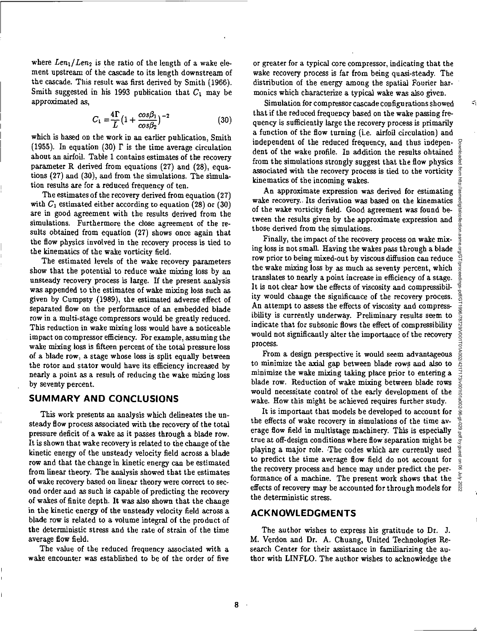where  $Len_1/Len_2$  is the ratio of the length of a wake element upstream of the cascade to its length downstream of the cascade. This result was first derived by Smith (1966). Smith suggested in his 1993 publication that  $C_1$  may be approximated as,

$$
C_1 = \frac{4\Gamma}{L} \left( 1 + \frac{\cos\beta_1}{\cos\beta_2} \right)^{-2}
$$
 (30)

which is based on the work in an earlier publication, Smith (1955). In equation (30)  $\Gamma$  is the time average circulation about an airfoil. Table 1 contains estimates of the recovery parameter R derived from equations  $(27)$  and  $(28)$ , equations (27) and (30), and from the simulations. The simulation results are for a reduced frequency of ten.

The estimates of the recovery derived from equation (27) with  $C_1$  estimated either according to equation (28) or (30) are in good agreement with the results derived from the simulations. Furthermore the close agreement of the results obtained from equation (27) shows once again that the flow physics involved in the recovery process is tied to the kinematics of the wake vorticity field.

The estimated levels of the wake recovery parameters show that the potential to reduce wake mixing loss by an unsteady recovery process is large. If the present analysis was appended to the estimates of wake mixing loss such as given by Cumpsty (1989), the estimated adverse effect of separated flow on the performance of an embedded blade row in a multi-stage compressors would be greatly reduced. This reduction in wake mixing loss would have a noticeable impact on compressor efficiency. For example, assuming the wake mixing loss is fifteen percent of the total pressure loss of a blade row, a stage whose loss is split equally between the rotor and stator would have its efficiency increased by nearly a point as a result of reducing the wake mixing loss by seventy percent.

### **SUMMARY AND CONCLUSIONS**

This work presents an analysis which delineates the unsteady flow process associated with the recovery of the total pressure deficit of a wake as it passes through a blade row. It is shown that wake recovery is related to the change of the kinetic energy of the unsteady velocity field across a blade row and that the change in kinetic energy can be estimated from linear theory. The analysis showed that the estimates of wake recovery based on linear theory were correct to second order and as such is capable of predicting the recovery of wakes of finite depth. It was also shown that the change in the kinetic energy of the unsteady velocity field across a blade row is related to a volume integral of the product of the deterministic stress and the rate of strain of the time average flow field.

The value of the reduced frequency associated with a wake encounter was established to be of the order of five

or greater for a typical core compressor, indicating that the wake recovery process is far from being quasi-steady. The distribution of the energy among the spatial Fourier harmonics which characterize a typical wake was also given.

Simulation for compressor cascade configurations showed that if the reduced frequency based on the wake passing frequency is sufficiently large the recovery process is primarily a function of the flow turning (i.e. airfoil circulation) and independent of the reduced frequency, and thus independent of the wake profile. In addition the results obtained from the simulations strongly suggest that the flow physics associated with the recovery process is tied to the vorticity kinematics of the incoming wakes.

An approximate expression was derived for estimating wake recovery.. Its derivation was based on the kinematics of the wake vorticity field. Good agreement was found between the results given by the approximate expression and those derived from the simulations.

Finally, the impact of the recovery process on wake mixing loss is not small. Having the wakes pass through a blade row prior to being mixed-out by viscous diffusion can reduce the wake mixing loss by as much as seventy percent, which translates to nearly a point increase in efficiency of a stage. It is not clear how the effects of viscosity and compressibility would change the significance of the recovery process. An attempt to assess the effects of viscosity and compressibility is currently underway. Preliminary results seem to indicate that for subsonic flows the effect of compressibility would not significantly alter the importance of the recovery process.

From a design perspective it would seem advantageous to minimize the axial gap between blade rows and also to minimize the wake mixing taking place prior to entering a blade row. Reduction of wake mixing between blade rows would necessitate control of the early development of the wake. How this might be achieved requires further study.

It is important that models be developed to account for the effects of wake recovery in simulations of the time average flow field in multistage machinery. This is especially true at off-design conditions where flow separation might be playing a major role. The codes which are currently used to predict the time average flow field do not account for the recovery process and hence may under predict the performance of a machine. The present work shows that the effects of recovery may be accounted for through models for the deterministic stress.

## **ACKNOWLEDGMENTS**

The author wishes to express his gratitude to Dr. J. M. Verdon and Dr. A. Chuang, United Technologies Research Center for their assistance in familiarizing the author with LINFLO. The author wishes to acknowledge the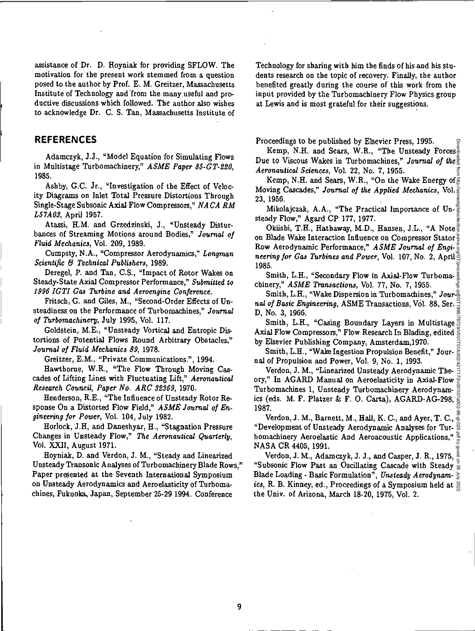assistance of Dr. D. Hoyniak for providing SFLOW. The motivation for the present work stemmed from a question posed to the author by Prof. E. M. Greitzer, Massachusetts Institute of Technology and from the many useful and productive discussions which followed. The author also wishes to acknowledge Dr. C. S. Tan, Massachusetts Institute of

#### **REFERENCES**

Adamczyk, J.J., "Model Equation for Simulating Flows in Multistage Turbomachinery," *ASME Paper 85-C T-220,*  1985.

Ashby, G.C. Jr., "Investigation of the Effect of Velocity Diagrams on Inlet Total Pressure Distortions Through Single-Stage Subsonic Axial Flow Compressors," *NA CA RM L57A03,* April 1957.

Atassi, H.M. and Grzedzinski, J., "Unsteady Disturbances of Streaming Motions around Bodies," *Journal of Fluid Mechanics,* Vol. 209, 1989.

Cumpsty, N.A., "Compressor Aerodynamics," *Longman Scientific 85 Technical Publishers,* 1989.

Deregel, P. and Tan, C.S., "Impact of Rotor Wakes on Steady-State Axial Compressor Performance," *Submitted to 1996 IGT1 Gas* Turbine and *Aeroengine Conference.* 

Fritsch, G. and Giles, M., "Second-Order Effects of Unsteadiness on the Performance of Turbomachines," Journal *of Turbomachinery,* July 1995, Vol. 117.

Goldstein, M.E., "Unsteady Vortical and Entropic Distortions of Potential Flows Round Arbitrary Obstacles," *Journal of Fluid Mechanics 89,* 1978.

Greitzer, E.M., "Private Communications.", 1994.

Hawthorne, W.R., "The Flow Through Moving Cascades of Lifting Lines with Fluctuating Lift," *Aeronautical Research Council, Paper No. ARC 32369,* 1970.

Henderson, R.E., "The Influence of Unsteady Rotor Response On a Distorted Flow Field," *ASME Journal of Engineering for Power,* Vol. 104, July 1982.

Horlock, 'J.H, and Daneshyar, H., "Stagnation Pressure Changes in Unsteady Flow," *The Aeronautical Quarterly,*  Vol. XXII, August 1971.

Hoyniak, D. and Verdon, J. M., "Steady and Linearized Unsteady Transonic Analyses of Turbomachinery Blade Rows," Paper presented at the Seventh International Symposium on Unsteady Aerodynamics and Aeroelasticity of Turbomachines, Fukuoka, Japan, September 25-29 1994. Conference

Technology for sharing with him the finds of his and his students research on the topic of recovery. Finally, the author benefited greatly during the course of this work from the input provided by the Turbomachinery Flow Physics group at Lewis and is most grateful for their suggestions.

Proceedings to be published by Elsevier Press, 1995.

Kemp, N.H. and Sears, W.R., "The Unsteady Forces Due to Viscous Wakes in Turbomachines," Journal *of the Aeronautical Sciences,* Vol. 22, No. 7, 1955.

Kemp, N.H. and Sears, W.R., "On the Wake Energy of Moving Cascades," *Journal of the Applied Mechanics,* Vol. 23, 1956.

Mikolajczak, A.A., "The Practical Importance of Unsteady Flow," Agard CP 177, 1977.

Okiishi, T.H., Hathaway, M.D., Hansen, J.L., "A Note on Blade Wake Interaction Influence on Compressor Stator Row Aerodynamic Performance," *ASME Journal of Engineering for Gas Turbines and Power,* Vol. 107, No. 2, April 1985. Downloaded from http://asmedigitalcollection.asme.org/GT/proceedings-pdf/GT1996/78729/V001T01A002/4217173/v001t01a002-96-gt-029.pdf by guest on 06 July 2022

Smith, L.H., "Secondary Flow in Axial-Flow Turbomachinery," *ASME Transactions,* Vol. 77, No. 7, 1955.

Smith, L.H., "Wake Dispersion in Turbomachines," Journal *of Basic Engineering,* ASME Transactions, VOL 88, Ser. D, No. 3, 1966.

Smith, L.H., "Casing Boundary Layers in Multistage Axial Flow Compressors," Flow Research In Blading, edited by Elsevier Publishing Company, Amsterdam,1970.

Smith, L.H., "Wake Ingestion Propulsion Benefit," Journal of Propulsion and Power, Vol. 9, No. 1, 1993.

Verdon, J. M., "Linearized Unsteady Aerodynamic Theory," In AGARD Manual on Aeroelasticity in Axial-Flow Turbomachines 1, Unsteady Turbomachinery Aerodynamics (eds. M. F. Platzer & F. O. Carta), AGARD-AG-298, 1987.

Verdon, J. M., Barnett, M., Hall, K. C., and Ayer, T. C., "Development of Unsteady Aerodynamic Analyses for Turbomachinery Aeroelastic And Aeroacoustic Applications," NASA CR 4405, 1991.

Verdon, J. M., Adamczyk, J. J., and Casper, J. R., 1975, "Subsonic Flow Past an Oscillating Cascade with Steady  $\frac{1}{2}$ Blade Loading - Basic Formulation", *Unsteady Aerodynam*ics, R. B. Kinney, ed., Proceedings of a Symposium held at  $\frac{8}{60}$ the Univ. of Arizona, March 18-20, 1975, Vol. 2.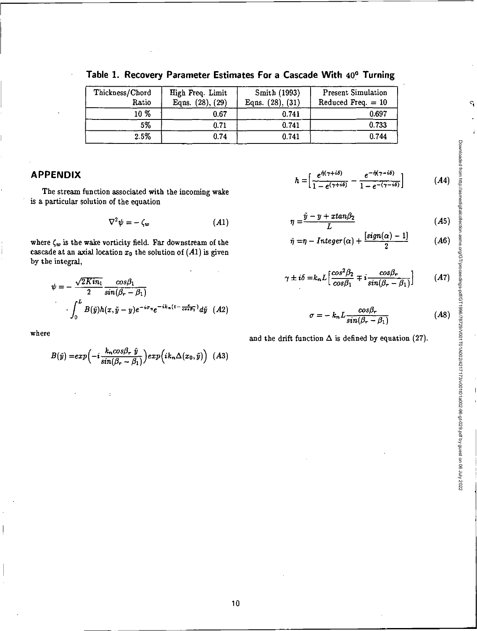| Thickness/Chord | High Freq. Limit       | Smith (1993)       | <b>Present Simulation</b> |
|-----------------|------------------------|--------------------|---------------------------|
| Ratio           | (28),<br>(29)<br>Eqns. | Eqns. $(28), (31)$ | Reduced Freq. $= 10$      |
| 10 %            | 0.67                   | 0.741              | 0.697                     |
| 5%              | 0.71                   | 0.741              | 0.733                     |
| 2.5%            | 0.74                   | 0.741              | 0.744                     |
|                 |                        |                    |                           |

**Table 1. Recovery Parameter Estimates For a Cascade With 40° Turning** 

# **APPENDIX**

The stream function associated with the incoming wake is a particular solution of the equation

$$
\nabla^2 \psi = -\zeta_w \tag{A1}
$$

where  $\zeta_w$  is the wake vorticity field. Far downstream of the cascade at an axial location  $x_0$  the solution of  $(A1)$  is given by the integral,

$$
\psi = -\frac{\sqrt{2Kin_1}}{2} \frac{\cos\beta_1}{\sin(\beta_r - \beta_1)}
$$
  
 
$$
\int_0^L B(\tilde{y})h(x, \tilde{y} - y)e^{-i\sigma\eta}e^{-ik_n(t - \frac{\sigma}{\cos\beta_1})}d\tilde{y} \quad (A2)
$$
  
 
$$
\sigma = -k_n L \frac{\cos\beta_r}{\sin(\beta_r - \beta_1)}
$$

where

$$
B(\bar{y}) = exp\left(-i\frac{k_n cos\beta_r \bar{y}}{sin(\beta_r - \beta_1)}\right) exp\left(ik_n\Delta(x_0, \bar{y})\right)
$$
 (A3)

$$
h = \left[\frac{e^{\tilde{\eta}(\gamma + i\delta)}}{1 - e^{(\gamma + i\delta)}} - \frac{e^{-\tilde{\eta}(\gamma - i\delta)}}{1 - e^{-(\gamma - i\delta)}}\right]
$$
(A4)

$$
\nabla^2 \psi = -\zeta_w \qquad (A1) \qquad \eta = \frac{\tilde{y} - y + x \tan \beta_2}{L} \qquad (A5)
$$
  
strictly field. Far downstream of the  

$$
\bar{\eta} = \eta - Integer(\alpha) + \frac{[sign(\alpha) - 1]}{2} \qquad (A6)
$$

$$
\gamma \pm i\delta = k_n L \left[ \frac{\cos^2 \beta_2}{\cos \beta_1} \mp i \frac{\cos \beta_r}{\sin(\beta_r - \beta_1)} \right] \tag{A7}
$$

$$
\sigma = -k_n L \frac{\cos \beta_r}{\sin(\beta_r - \beta_1)} \tag{A8}
$$

and the drift function  $\Delta$  is defined by equation (27).

ς.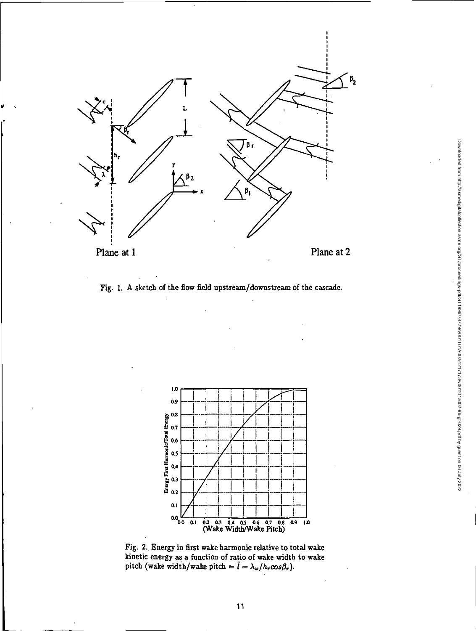







Downloaded from http://asmedigitalcollection.asme.org/GT/proceedings-pdf/GT1996/78729/V001101A002/4217173/v001101a002-96-gt-029.pdf by guest on 06 July 2022 Downloaded from http://asmedigitalcollection.asme.org/GT/proceedings-pdf/GT1996/78729/V001T01A002/4217173/v001t01a002-96-gt-029.pdf by guest on 06 July 2022